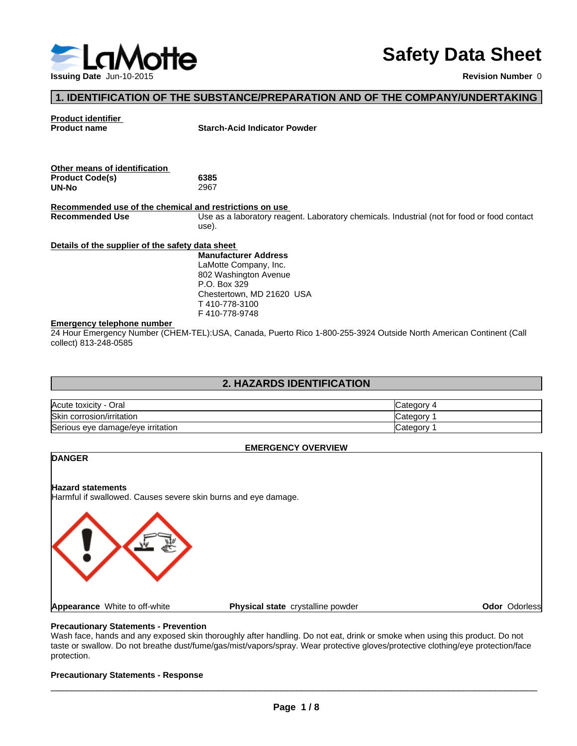

## **Safety Data Sheet**

#### **1. IDENTIFICATION OF THE SUBSTANCE/PREPARATION AND OF THE COMPANY/UNDERTAKING**

## **Product identifier**

**Starch-Acid Indicator Powder** 

| Other means of identification |      |  |
|-------------------------------|------|--|
| <b>Product Code(s)</b>        | 6385 |  |
| UN-No                         | 2967 |  |

**Recommended use of the chemical and restrictions on use**  Use as a laboratory reagent. Laboratory chemicals. Industrial (not for food or food contact use).

#### **Details of the supplier of the safety data sheet**

**Manufacturer Address** LaMotte Company, Inc. 802 Washington Avenue P.O. Box 329 Chestertown, MD 21620 USA T 410-778-3100 F 410-778-9748

#### **Emergency telephone number**

24 Hour Emergency Number (CHEM-TEL):USA, Canada, Puerto Rico 1-800-255-3924 Outside North American Continent (Call collect) 813-248-0585

#### **2. HAZARDS IDENTIFICATION**

| Acute toxicity - 0<br>Oral        | ∵ ategoryټ |
|-----------------------------------|------------|
| Skin<br>corrosion/irritation      | ∵ategoryٽ  |
| Serious eye damage/eye irritation | Category   |

#### **EMERGENCY OVERVIEW**

# **DANGER Hazard statements** Harmful if swallowed. Causes severe skin burns and eye damage. **Appearance** White to off-white **Physical state** crystalline powder **Odor** Odorless

#### **Precautionary Statements - Prevention**

Wash face, hands and any exposed skin thoroughly after handling. Do not eat, drink or smoke when using this product. Do not taste or swallow. Do not breathe dust/fume/gas/mist/vapors/spray. Wear protective gloves/protective clothing/eye protection/face protection.

#### **Precautionary Statements - Response**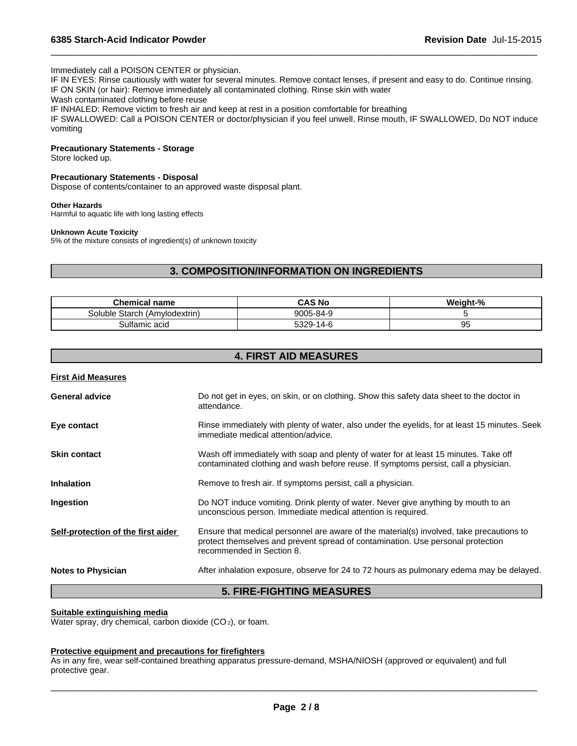#### Immediately call a POISON CENTER or physician.

IF IN EYES: Rinse cautiously with water for several minutes. Remove contact lenses, if present and easy to do. Continue rinsing. IF ON SKIN (or hair): Remove immediately all contaminated clothing. Rinse skin with water

 $\overline{\phantom{a}}$  ,  $\overline{\phantom{a}}$  ,  $\overline{\phantom{a}}$  ,  $\overline{\phantom{a}}$  ,  $\overline{\phantom{a}}$  ,  $\overline{\phantom{a}}$  ,  $\overline{\phantom{a}}$  ,  $\overline{\phantom{a}}$  ,  $\overline{\phantom{a}}$  ,  $\overline{\phantom{a}}$  ,  $\overline{\phantom{a}}$  ,  $\overline{\phantom{a}}$  ,  $\overline{\phantom{a}}$  ,  $\overline{\phantom{a}}$  ,  $\overline{\phantom{a}}$  ,  $\overline{\phantom{a}}$ 

Wash contaminated clothing before reuse

IF INHALED: Remove victim to fresh air and keep at rest in a position comfortable for breathing

IF SWALLOWED: Call a POISON CENTER or doctor/physician if you feel unwell, Rinse mouth, IF SWALLOWED, Do NOT induce vomiting

#### **Precautionary Statements - Storage**

Store locked up.

#### **Precautionary Statements - Disposal**

Dispose of contents/container to an approved waste disposal plant.

#### **Other Hazards**

Harmful to aquatic life with long lasting effects

#### **Unknown Acute Toxicity**

5% of the mixture consists of ingredient(s) of unknown toxicity

#### **3. COMPOSITION/INFORMATION ON INGREDIENTS**

| <b>Chemical name</b>                | CAS No                          | <br>.√eight-% |
|-------------------------------------|---------------------------------|---------------|
| (Amylodextrin)<br>Starch<br>Soluble | 9005-84-9                       |               |
| Sultamic acid                       | E220<br>$\sim$<br>14-<br>ാാ∠്ത- | ັບ            |

#### **4. FIRST AID MEASURES**

| <b>First Aid Measures</b>          |                                                                                                                                                                                                          |
|------------------------------------|----------------------------------------------------------------------------------------------------------------------------------------------------------------------------------------------------------|
| <b>General advice</b>              | Do not get in eyes, on skin, or on clothing. Show this safety data sheet to the doctor in<br>attendance.                                                                                                 |
| Eye contact                        | Rinse immediately with plenty of water, also under the eyelids, for at least 15 minutes. Seek<br>immediate medical attention/advice.                                                                     |
| <b>Skin contact</b>                | Wash off immediately with soap and plenty of water for at least 15 minutes. Take off<br>contaminated clothing and wash before reuse. If symptoms persist, call a physician.                              |
| <b>Inhalation</b>                  | Remove to fresh air. If symptoms persist, call a physician.                                                                                                                                              |
| Ingestion                          | Do NOT induce vomiting. Drink plenty of water. Never give anything by mouth to an<br>unconscious person. Immediate medical attention is required.                                                        |
| Self-protection of the first aider | Ensure that medical personnel are aware of the material(s) involved, take precautions to<br>protect themselves and prevent spread of contamination. Use personal protection<br>recommended in Section 8. |
| <b>Notes to Physician</b>          | After inhalation exposure, observe for 24 to 72 hours as pulmonary edema may be delayed.                                                                                                                 |
|                                    | <b>5. FIRE-FIGHTING MEASURES</b>                                                                                                                                                                         |

#### **Suitable extinguishing media**

Water spray, dry chemical, carbon dioxide (CO<sub>2</sub>), or foam.

#### **Protective equipment and precautions for firefighters**

As in any fire, wear self-contained breathing apparatus pressure-demand, MSHA/NIOSH (approved or equivalent) and full protective gear.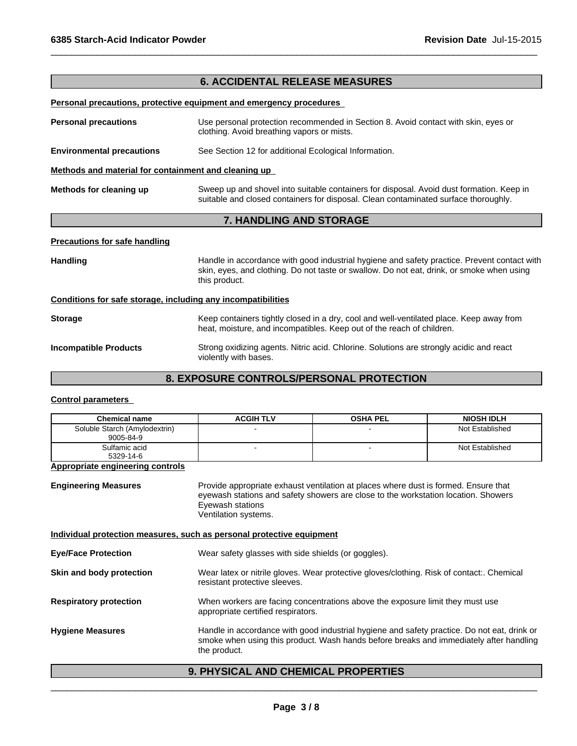#### **6. ACCIDENTAL RELEASE MEASURES**

 $\overline{\phantom{a}}$  ,  $\overline{\phantom{a}}$  ,  $\overline{\phantom{a}}$  ,  $\overline{\phantom{a}}$  ,  $\overline{\phantom{a}}$  ,  $\overline{\phantom{a}}$  ,  $\overline{\phantom{a}}$  ,  $\overline{\phantom{a}}$  ,  $\overline{\phantom{a}}$  ,  $\overline{\phantom{a}}$  ,  $\overline{\phantom{a}}$  ,  $\overline{\phantom{a}}$  ,  $\overline{\phantom{a}}$  ,  $\overline{\phantom{a}}$  ,  $\overline{\phantom{a}}$  ,  $\overline{\phantom{a}}$ 

#### **Personal precautions, protective equipment and emergency procedures**

**Personal precautions** Use personal protection recommended in Section 8. Avoid contact with skin, eyes or clothing. Avoid breathing vapors or mists.

#### **Environmental precautions** See Section 12 for additional Ecological Information.

violently with bases.

**Methods and material for containment and cleaning up** 

**Methods for cleaning up** Sweep up and shovel into suitable containers for disposal. Avoid dust formation. Keep in suitable and closed containers for disposal. Clean contaminated surface thoroughly.

#### **7. HANDLING AND STORAGE**

#### **Precautions for safe handling**

Handling **Handle** in accordance with good industrial hygiene and safety practice. Prevent contact with skin, eyes, and clothing. Do not taste or swallow. Do not eat, drink, or smoke when using this product.

#### **Conditions for safe storage, including any incompatibilities**

| <b>Storage</b>               | Keep containers tightly closed in a dry, cool and well-ventilated place. Keep away from<br>heat, moisture, and incompatibles. Keep out of the reach of children. |  |
|------------------------------|------------------------------------------------------------------------------------------------------------------------------------------------------------------|--|
| <b>Incompatible Products</b> | Strong oxidizing agents. Nitric acid. Chlorine. Solutions are strongly acidic and react                                                                          |  |

#### **8. EXPOSURE CONTROLS/PERSONAL PROTECTION**

#### **Control parameters**

| <b>Chemical name</b>                       | <b>ACGIH TLV</b> | <b>OSHA PEL</b> | <b>NIOSH IDLH</b> |
|--------------------------------------------|------------------|-----------------|-------------------|
| Soluble Starch (Amylodextrin)<br>9005-84-9 |                  |                 | Not Established   |
| Sulfamic acid<br>5329-14-6                 |                  |                 | Not Established   |

#### **Appropriate engineering controls**

**Engineering Measures** Provide appropriate exhaust ventilation at places where dust is formed. Ensure that eyewash stations and safety showers are close to the workstation location. Showers Eyewash stations Ventilation systems.

#### **Individual protection measures, such as personal protective equipment**

| <b>Eye/Face Protection</b>    | Wear safety glasses with side shields (or goggles).                                                                                                                                                   |
|-------------------------------|-------------------------------------------------------------------------------------------------------------------------------------------------------------------------------------------------------|
| Skin and body protection      | Wear latex or nitrile gloves. Wear protective gloves/clothing. Risk of contact:. Chemical<br>resistant protective sleeves.                                                                            |
| <b>Respiratory protection</b> | When workers are facing concentrations above the exposure limit they must use<br>appropriate certified respirators.                                                                                   |
| <b>Hygiene Measures</b>       | Handle in accordance with good industrial hygiene and safety practice. Do not eat, drink or<br>smoke when using this product. Wash hands before breaks and immediately after handling<br>the product. |

#### **9. PHYSICAL AND CHEMICAL PROPERTIES**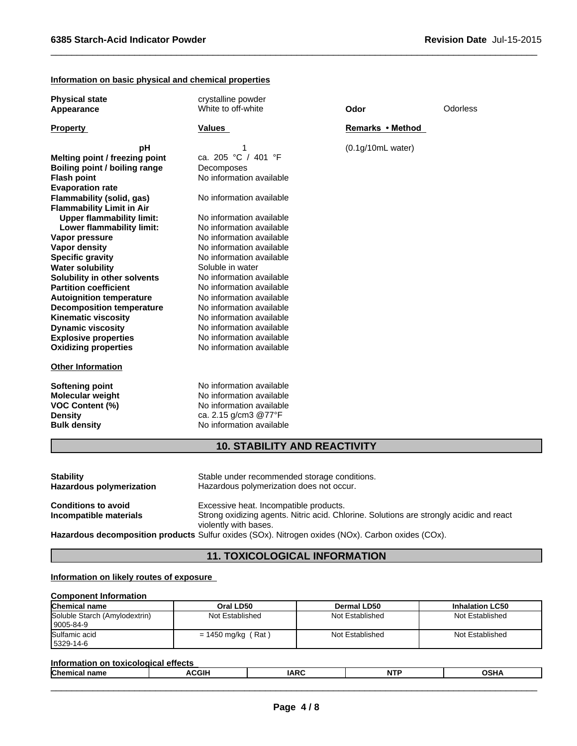#### **Information on basic physical and chemical properties**

| <b>Physical state</b><br>Appearance | crystalline powder<br>White to off-white | Odor              | Odorless |
|-------------------------------------|------------------------------------------|-------------------|----------|
| <b>Property</b>                     | <b>Values</b>                            | Remarks • Method  |          |
| pH                                  | 1                                        | (0.1g/10mL water) |          |
| Melting point / freezing point      | ca. 205 °C / 401 °F                      |                   |          |
| Boiling point / boiling range       | Decomposes                               |                   |          |
| <b>Flash point</b>                  | No information available                 |                   |          |
| <b>Evaporation rate</b>             |                                          |                   |          |
| Flammability (solid, gas)           | No information available                 |                   |          |
| <b>Flammability Limit in Air</b>    |                                          |                   |          |
| <b>Upper flammability limit:</b>    | No information available                 |                   |          |
| Lower flammability limit:           | No information available                 |                   |          |
| Vapor pressure                      | No information available                 |                   |          |
| <b>Vapor density</b>                | No information available                 |                   |          |
| <b>Specific gravity</b>             | No information available                 |                   |          |
| <b>Water solubility</b>             | Soluble in water                         |                   |          |
| Solubility in other solvents        | No information available                 |                   |          |
| <b>Partition coefficient</b>        | No information available                 |                   |          |
| <b>Autoignition temperature</b>     | No information available                 |                   |          |
| <b>Decomposition temperature</b>    | No information available                 |                   |          |
| <b>Kinematic viscosity</b>          | No information available                 |                   |          |
| <b>Dynamic viscosity</b>            | No information available                 |                   |          |
| <b>Explosive properties</b>         | No information available                 |                   |          |
| <b>Oxidizing properties</b>         | No information available                 |                   |          |
| <b>Other Information</b>            |                                          |                   |          |
| <b>Softening point</b>              | No information available                 |                   |          |
| Molecular weight                    | No information available                 |                   |          |
| <b>VOC Content (%)</b>              | No information available                 |                   |          |
| <b>Density</b>                      | ca. 2.15 g/cm3 @77°F                     |                   |          |

 $\overline{\phantom{a}}$  ,  $\overline{\phantom{a}}$  ,  $\overline{\phantom{a}}$  ,  $\overline{\phantom{a}}$  ,  $\overline{\phantom{a}}$  ,  $\overline{\phantom{a}}$  ,  $\overline{\phantom{a}}$  ,  $\overline{\phantom{a}}$  ,  $\overline{\phantom{a}}$  ,  $\overline{\phantom{a}}$  ,  $\overline{\phantom{a}}$  ,  $\overline{\phantom{a}}$  ,  $\overline{\phantom{a}}$  ,  $\overline{\phantom{a}}$  ,  $\overline{\phantom{a}}$  ,  $\overline{\phantom{a}}$ 

#### **10. STABILITY AND REACTIVITY**

**Bulk density No information available Bulk density No** information available

| <b>Stability</b><br>Hazardous polymerization | Stable under recommended storage conditions.<br>Hazardous polymerization does not occur.                         |
|----------------------------------------------|------------------------------------------------------------------------------------------------------------------|
| <b>Conditions to avoid</b>                   | Excessive heat. Incompatible products.                                                                           |
| Incompatible materials                       | Strong oxidizing agents. Nitric acid. Chlorine. Solutions are strongly acidic and react<br>violently with bases. |
|                                              | Hazardous decomposition products Sulfur oxides (SOx). Nitrogen oxides (NOx). Carbon oxides (COx).                |

### **11. TOXICOLOGICAL INFORMATION**

#### **Information on likely routes of exposure**

#### **Component Information**

| <b>Chemical name</b>                         | Oral LD50            | Dermal LD50     | <b>Inhalation LC50</b> |
|----------------------------------------------|----------------------|-----------------|------------------------|
| Soluble Starch (Amylodextrin)<br>  9005-84-9 | Not Established      | Not Established | Not Established        |
| Sulfamic acid<br>5329-14-6                   | $= 1450$ mg/kg (Rat) | Not Established | Not Established        |

#### **Information on toxicological effects**

| <b>Chemical name</b> | <b>ACGII</b> | <b>IARC</b> | <b>NTP</b> | <b>OSHA</b> |
|----------------------|--------------|-------------|------------|-------------|
|                      |              |             |            |             |
|                      |              |             |            |             |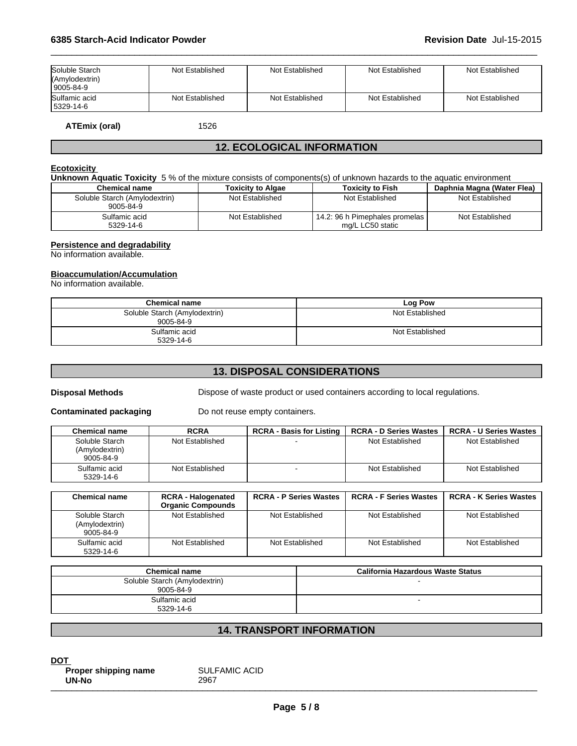| Soluble Starch<br>(Amylodextrin)<br> 9005-84-9 | Not Established | Not Established | Not Established | Not Established |
|------------------------------------------------|-----------------|-----------------|-----------------|-----------------|
| Sulfamic acid<br>5329-14-6                     | Not Established | Not Established | Not Established | Not Established |

 $\overline{\phantom{a}}$  ,  $\overline{\phantom{a}}$  ,  $\overline{\phantom{a}}$  ,  $\overline{\phantom{a}}$  ,  $\overline{\phantom{a}}$  ,  $\overline{\phantom{a}}$  ,  $\overline{\phantom{a}}$  ,  $\overline{\phantom{a}}$  ,  $\overline{\phantom{a}}$  ,  $\overline{\phantom{a}}$  ,  $\overline{\phantom{a}}$  ,  $\overline{\phantom{a}}$  ,  $\overline{\phantom{a}}$  ,  $\overline{\phantom{a}}$  ,  $\overline{\phantom{a}}$  ,  $\overline{\phantom{a}}$ 

**ATEmix (oral)** 1526

#### **12. ECOLOGICAL INFORMATION**

#### **Ecotoxicity**

**Unknown Aquatic Toxicity** 5 % of the mixture consists of components(s) of unknown hazards to the aquatic environment

| <b>Chemical name</b>                       | <b>Toxicity to Algae</b> | <b>Toxicity to Fish</b>                            | Daphnia Magna (Water Flea) |
|--------------------------------------------|--------------------------|----------------------------------------------------|----------------------------|
| Soluble Starch (Amylodextrin)<br>9005-84-9 | Not Established          | Not Established                                    | Not Established            |
| Sulfamic acid<br>5329-14-6                 | Not Established          | 14.2: 96 h Pimephales promelas<br>mg/L LC50 static | Not Established            |

#### **Persistence and degradability**

No information available.

#### **Bioaccumulation/Accumulation**

No information available.

| <b>Chemical name</b>                       | <b>Log Pow</b>  |
|--------------------------------------------|-----------------|
| Soluble Starch (Amylodextrin)<br>9005-84-9 | Not Established |
| Sulfamic acid<br>5329-14-6                 | Not Established |

#### **13. DISPOSAL CONSIDERATIONS**

**Disposal Methods** Dispose of waste product or used containers according to local regulations.

**Contaminated packaging** Do not reuse empty containers.

| <b>Chemical name</b>                          | <b>RCRA</b>     | <b>RCRA - Basis for Listing</b> | <b>RCRA - D Series Wastes</b> | <b>RCRA - U Series Wastes</b> |
|-----------------------------------------------|-----------------|---------------------------------|-------------------------------|-------------------------------|
| Soluble Starch<br>(Amylodextrin)<br>9005-84-9 | Not Established |                                 | Not Established               | Not Established               |
| Sulfamic acid<br>5329-14-6                    | Not Established |                                 | Not Established               | Not Established               |

| <b>Chemical name</b>                          | <b>RCRA - Halogenated</b><br><b>Organic Compounds</b> | <b>RCRA - P Series Wastes</b> | <b>RCRA - F Series Wastes</b> | <b>RCRA - K Series Wastes</b> |
|-----------------------------------------------|-------------------------------------------------------|-------------------------------|-------------------------------|-------------------------------|
| Soluble Starch<br>(Amylodextrin)<br>9005-84-9 | Not Established                                       | Not Established               | Not Established               | Not Established               |
| Sulfamic acid<br>5329-14-6                    | Not Established                                       | Not Established               | Not Established               | Not Established               |

| <b>Chemical name</b>                       | California Hazardous Waste Status |
|--------------------------------------------|-----------------------------------|
| Soluble Starch (Amylodextrin)<br>9005-84-9 |                                   |
| Sulfamic acid<br>5329-14-6                 |                                   |

#### **14. TRANSPORT INFORMATION**

**DOT Proper shipping name** SULFAMIC ACID<br>
UN-No<br>
2967 **UN-No** <sup>2967</sup> \_\_\_\_\_\_\_\_\_\_\_\_\_\_\_\_\_\_\_\_\_\_\_\_\_\_\_\_\_\_\_\_\_\_\_\_\_\_\_\_\_\_\_\_\_\_\_\_\_\_\_\_\_\_\_\_\_\_\_\_\_\_\_\_\_\_\_\_\_\_\_\_\_\_\_\_\_\_\_\_\_\_\_\_\_\_\_\_\_\_\_\_\_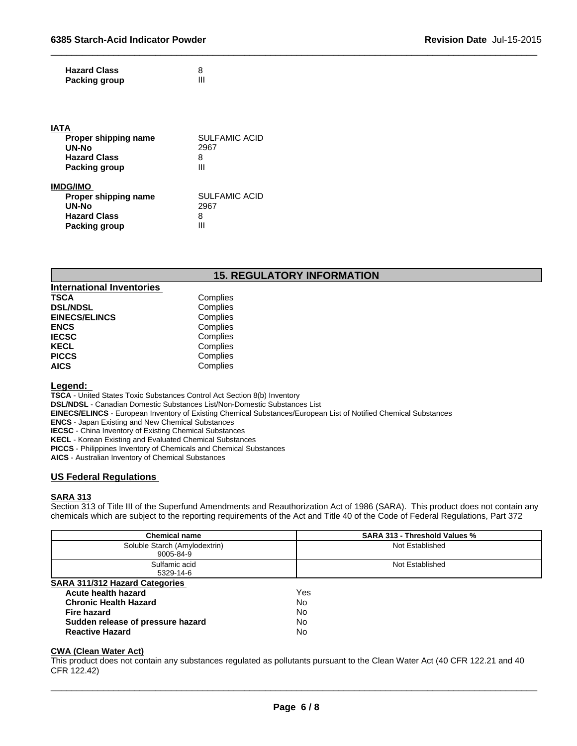| <b>Hazard Class</b>  |  |
|----------------------|--|
| <b>Packing group</b> |  |

| <b>IATA</b>          |                      |  |
|----------------------|----------------------|--|
| Proper shipping name | <b>SULFAMIC ACID</b> |  |
| UN-No                | 2967                 |  |
| <b>Hazard Class</b>  | 8                    |  |
| Packing group        | Ш                    |  |
| <b>IMDG/IMO</b>      |                      |  |
| Proper shipping name | <b>SULFAMIC ACID</b> |  |
| <b>UN-No</b>         | 2967                 |  |
| <b>Hazard Class</b>  | 8                    |  |
| Packing group        | Ш                    |  |

#### **15. REGULATORY INFORMATION**

 $\overline{\phantom{a}}$  ,  $\overline{\phantom{a}}$  ,  $\overline{\phantom{a}}$  ,  $\overline{\phantom{a}}$  ,  $\overline{\phantom{a}}$  ,  $\overline{\phantom{a}}$  ,  $\overline{\phantom{a}}$  ,  $\overline{\phantom{a}}$  ,  $\overline{\phantom{a}}$  ,  $\overline{\phantom{a}}$  ,  $\overline{\phantom{a}}$  ,  $\overline{\phantom{a}}$  ,  $\overline{\phantom{a}}$  ,  $\overline{\phantom{a}}$  ,  $\overline{\phantom{a}}$  ,  $\overline{\phantom{a}}$ 

| <b>International Inventories</b> |          |
|----------------------------------|----------|
| TSCA                             | Complies |
| <b>DSL/NDSL</b>                  | Complies |
| <b>EINECS/ELINCS</b>             | Complies |
| ENCS                             | Complies |
| <b>IECSC</b>                     | Complies |
| KECL                             | Complies |
| PICCS                            | Complies |
| AICS                             | Complies |

#### **Legend:**

**TSCA** - United States Toxic Substances Control Act Section 8(b) Inventory

**DSL/NDSL** - Canadian Domestic Substances List/Non-Domestic Substances List

**EINECS/ELINCS** - European Inventory of Existing Chemical Substances/European List of Notified Chemical Substances

**ENCS** - Japan Existing and New Chemical Substances

**IECSC** - China Inventory of Existing Chemical Substances

**KECL** - Korean Existing and Evaluated Chemical Substances

**PICCS** - Philippines Inventory of Chemicals and Chemical Substances

**AICS** - Australian Inventory of Chemical Substances

#### **US Federal Regulations**

#### **SARA 313**

Section 313 of Title III of the Superfund Amendments and Reauthorization Act of 1986 (SARA). This product does not contain any chemicals which are subject to the reporting requirements of the Act and Title 40 of the Code of Federal Regulations, Part 372

| <b>Chemical name</b>                  | <b>SARA 313 - Threshold Values %</b> |  |
|---------------------------------------|--------------------------------------|--|
| Soluble Starch (Amylodextrin)         | Not Established                      |  |
| 9005-84-9                             |                                      |  |
| Sulfamic acid                         | Not Established                      |  |
| 5329-14-6                             |                                      |  |
| <b>SARA 311/312 Hazard Categories</b> |                                      |  |
| Acute health hazard                   | Yes                                  |  |
| <b>Chronic Health Hazard</b>          | No.                                  |  |
| Fire hazard                           | <b>No</b>                            |  |
| Sudden release of pressure hazard     | No                                   |  |
| <b>Reactive Hazard</b>                | No                                   |  |

#### **CWA (Clean Water Act)**

This product does not contain any substances regulated as pollutants pursuant to the Clean Water Act (40 CFR 122.21 and 40 CFR 122.42)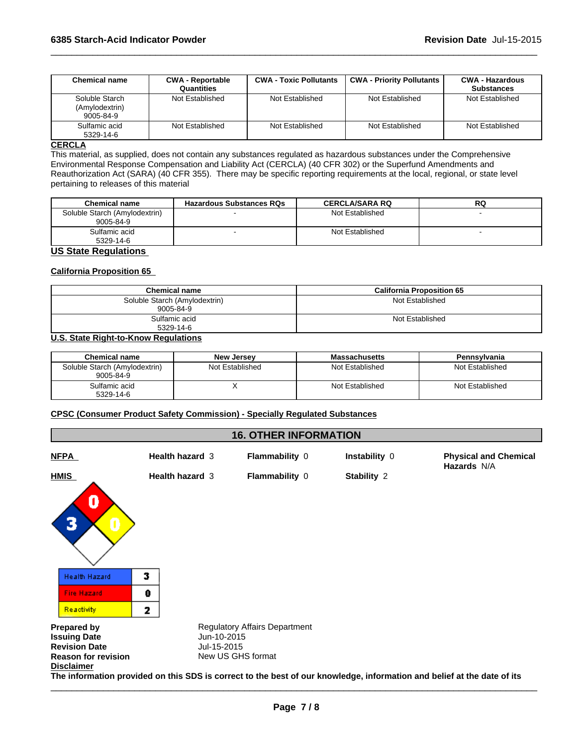| <b>Chemical name</b>                          | <b>CWA - Reportable</b><br>Quantities | <b>CWA - Toxic Pollutants</b> | <b>CWA - Priority Pollutants</b> | <b>CWA - Hazardous</b><br><b>Substances</b> |
|-----------------------------------------------|---------------------------------------|-------------------------------|----------------------------------|---------------------------------------------|
| Soluble Starch<br>(Amylodextrin)<br>9005-84-9 | Not Established                       | Not Established               | Not Established                  | Not Established                             |
| Sulfamic acid<br>5329-14-6                    | Not Established                       | Not Established               | Not Established                  | Not Established                             |

 $\overline{\phantom{a}}$  ,  $\overline{\phantom{a}}$  ,  $\overline{\phantom{a}}$  ,  $\overline{\phantom{a}}$  ,  $\overline{\phantom{a}}$  ,  $\overline{\phantom{a}}$  ,  $\overline{\phantom{a}}$  ,  $\overline{\phantom{a}}$  ,  $\overline{\phantom{a}}$  ,  $\overline{\phantom{a}}$  ,  $\overline{\phantom{a}}$  ,  $\overline{\phantom{a}}$  ,  $\overline{\phantom{a}}$  ,  $\overline{\phantom{a}}$  ,  $\overline{\phantom{a}}$  ,  $\overline{\phantom{a}}$ 

#### **CERCLA**

This material, as supplied, does not contain any substances regulated as hazardous substances under the Comprehensive Environmental Response Compensation and Liability Act (CERCLA) (40 CFR 302) or the Superfund Amendments and Reauthorization Act (SARA) (40 CFR 355). There may be specific reporting requirements at the local, regional, or state level pertaining to releases of this material

| <b>Chemical name</b>          | <b>Hazardous Substances RQs</b> | <b>CERCLA/SARA RQ</b> | RQ |
|-------------------------------|---------------------------------|-----------------------|----|
| Soluble Starch (Amylodextrin) |                                 | Not Established       |    |
| 9005-84-9                     |                                 |                       |    |
| Sulfamic acid                 |                                 | Not Established       |    |
| 5329-14-6                     |                                 |                       |    |

#### **US State Regulations**

#### **California Proposition 65**

| <b>Chemical name</b>                       | <b>California Proposition 65</b> |
|--------------------------------------------|----------------------------------|
| Soluble Starch (Amylodextrin)<br>9005-84-9 | Not Established                  |
| Sulfamic acid<br>5329-14-6                 | Not Established                  |

#### **U.S. State Right-to-Know Regulations**

| <b>Chemical name</b>                       | <b>New Jersey</b> | <b>Massachusetts</b> | Pennsylvania    |
|--------------------------------------------|-------------------|----------------------|-----------------|
| Soluble Starch (Amylodextrin)<br>9005-84-9 | Not Established   | Not Established      | Not Established |
| Sulfamic acid<br>5329-14-6                 |                   | Not Established      | Not Established |

#### **CPSC (Consumer Product Safety Commission) - Specially Regulated Substances**

#### **16. OTHER INFORMATION**

| <u>NFPA</u> | <b>Health hazard 3</b> | <b>Flammability 0</b> | Instability 0 | <b>Physical and Chemical</b><br><b>Hazards N/A</b> |
|-------------|------------------------|-----------------------|---------------|----------------------------------------------------|
| <b>HMIS</b> | <b>Health hazard 3</b> | <b>Flammability 0</b> | Stability 2   |                                                    |



**Prepared by Sexty Regulatory Affairs Department Issuing Date**<br> **Issuing Date** Sexty Regulatory Affairs Department **Issuing Date** Jun-10-2015 **Revision Date Reason for revision** New US GHS format **Disclaimer The information provided on this SDS is correct to the best of our knowledge, information and belief at the date of its**